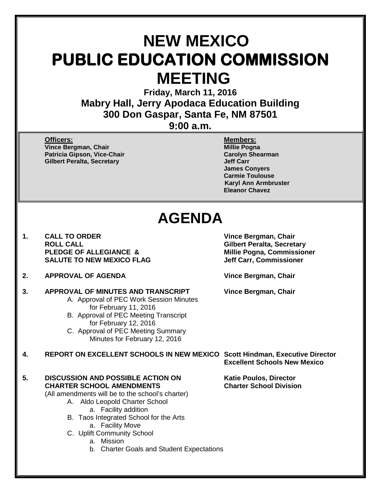# **NEW MEXICO PUBLIC EDUCATION COMMISSION MEETING**

**Friday, March 11, 2016 Mabry Hall, Jerry Apodaca Education Building 300 Don Gaspar, Santa Fe, NM 87501**

## **9:00 a.m.**

**Officers: Members: Vince Bergman, Chair Millie Pogna Patricia Gipson, Vice-Chair Carolyn Shearman Gilbert Peralta, Secretary** 

**James Conyers Carmie Toulouse Karyl Ann Armbruster Eleanor Chavez**

# **AGENDA**

- **1. CALL TO ORDER Vince Bergman, Chair ROLL CALL Gilbert Peralta, Secretary SALUTE TO NEW MEXICO FLAG**
- **2. APPROVAL OF AGENDA Vince Bergman, Chair**
- **3. APPROVAL OF MINUTES AND TRANSCRIPT Vince Bergman, Chair**
	- A. Approval of PEC Work Session Minutes for February 11, 2016
	- B. Approval of PEC Meeting Transcript for February 12, 2016
	- C. Approval of PEC Meeting Summary Minutes for February 12, 2016

**4. REPORT ON EXCELLENT SCHOOLS IN NEW MEXICO Scott Hindman, Executive Director**

### **5. DISCUSSION AND POSSIBLE ACTION ON Katie Poulos, Director CHARTER SCHOOL AMENDMENTS Charter School Division**

(All amendments will be to the school's charter)

- A. Aldo Leopold Charter School a. Facility addition
- B. Taos Integrated School for the Arts
	- a. Facility Move
- C. Uplift Community School
	- a. Mission
	- b. Charter Goals and Student Expectations

**Millie Pogna, Commissioner<br>Jeff Carr, Commissioner** 

**Excellent Schools New Mexico**